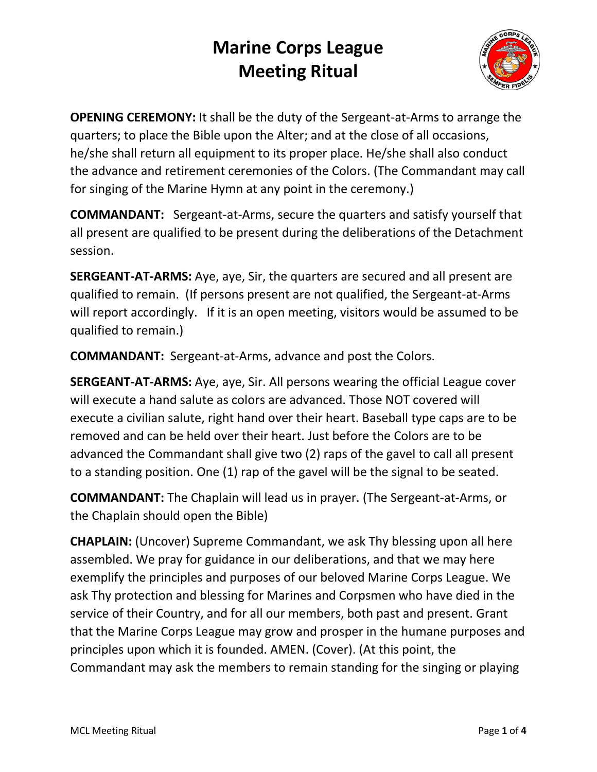

**OPENING CEREMONY:** It shall be the duty of the Sergeant-at-Arms to arrange the quarters; to place the Bible upon the Alter; and at the close of all occasions, he/she shall return all equipment to its proper place. He/she shall also conduct the advance and retirement ceremonies of the Colors. (The Commandant may call for singing of the Marine Hymn at any point in the ceremony.)

**COMMANDANT:** Sergeant-at-Arms, secure the quarters and satisfy yourself that all present are qualified to be present during the deliberations of the Detachment session.

**SERGEANT-AT-ARMS:** Aye, aye, Sir, the quarters are secured and all present are qualified to remain. (If persons present are not qualified, the Sergeant-at-Arms will report accordingly. If it is an open meeting, visitors would be assumed to be qualified to remain.)

**COMMANDANT:** Sergeant-at-Arms, advance and post the Colors.

**SERGEANT-AT-ARMS:** Aye, aye, Sir. All persons wearing the official League cover will execute a hand salute as colors are advanced. Those NOT covered will execute a civilian salute, right hand over their heart. Baseball type caps are to be removed and can be held over their heart. Just before the Colors are to be advanced the Commandant shall give two (2) raps of the gavel to call all present to a standing position. One (1) rap of the gavel will be the signal to be seated.

**COMMANDANT:** The Chaplain will lead us in prayer. (The Sergeant-at-Arms, or the Chaplain should open the Bible)

**CHAPLAIN:** (Uncover) Supreme Commandant, we ask Thy blessing upon all here assembled. We pray for guidance in our deliberations, and that we may here exemplify the principles and purposes of our beloved Marine Corps League. We ask Thy protection and blessing for Marines and Corpsmen who have died in the service of their Country, and for all our members, both past and present. Grant that the Marine Corps League may grow and prosper in the humane purposes and principles upon which it is founded. AMEN. (Cover). (At this point, the Commandant may ask the members to remain standing for the singing or playing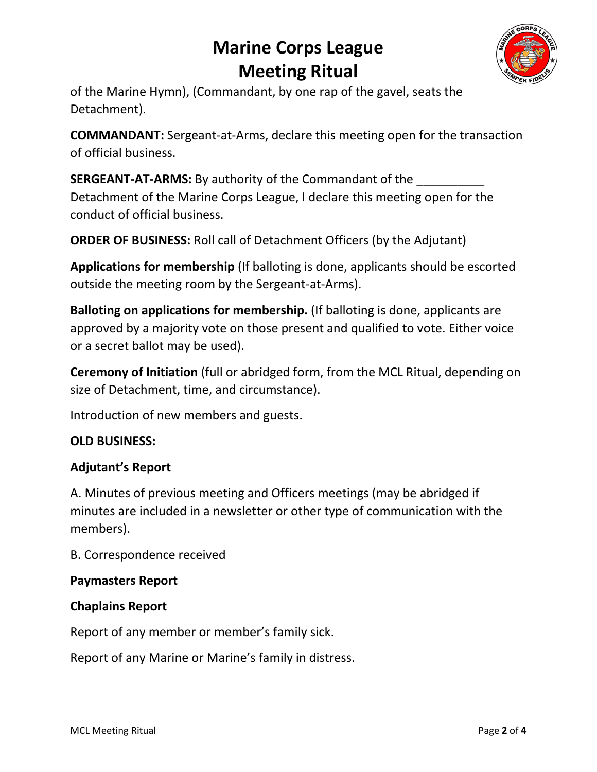

of the Marine Hymn), (Commandant, by one rap of the gavel, seats the Detachment).

**COMMANDANT:** Sergeant-at-Arms, declare this meeting open for the transaction of official business.

**SERGEANT-AT-ARMS:** By authority of the Commandant of the Detachment of the Marine Corps League, I declare this meeting open for the conduct of official business.

**ORDER OF BUSINESS:** Roll call of Detachment Officers (by the Adjutant)

**Applications for membership** (If balloting is done, applicants should be escorted outside the meeting room by the Sergeant-at-Arms).

**Balloting on applications for membership.** (If balloting is done, applicants are approved by a majority vote on those present and qualified to vote. Either voice or a secret ballot may be used).

**Ceremony of Initiation** (full or abridged form, from the MCL Ritual, depending on size of Detachment, time, and circumstance).

Introduction of new members and guests.

## **OLD BUSINESS:**

### **Adjutant's Report**

A. Minutes of previous meeting and Officers meetings (may be abridged if minutes are included in a newsletter or other type of communication with the members).

B. Correspondence received

### **Paymasters Report**

### **Chaplains Report**

Report of any member or member's family sick.

Report of any Marine or Marine's family in distress.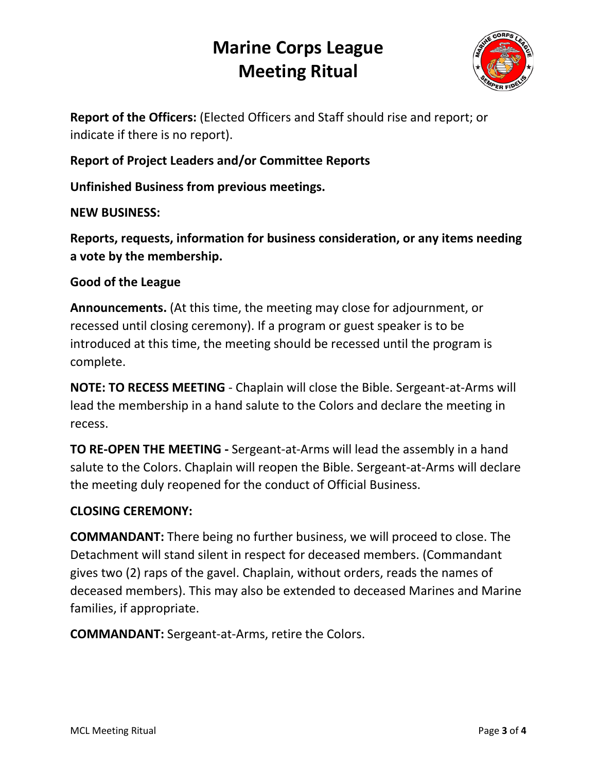

**Report of the Officers:** (Elected Officers and Staff should rise and report; or indicate if there is no report).

**Report of Project Leaders and/or Committee Reports**

**Unfinished Business from previous meetings.**

**NEW BUSINESS:** 

**Reports, requests, information for business consideration, or any items needing a vote by the membership.**

### **Good of the League**

**Announcements.** (At this time, the meeting may close for adjournment, or recessed until closing ceremony). If a program or guest speaker is to be introduced at this time, the meeting should be recessed until the program is complete.

**NOTE: TO RECESS MEETING** - Chaplain will close the Bible. Sergeant-at-Arms will lead the membership in a hand salute to the Colors and declare the meeting in recess.

**TO RE-OPEN THE MEETING -** Sergeant-at-Arms will lead the assembly in a hand salute to the Colors. Chaplain will reopen the Bible. Sergeant-at-Arms will declare the meeting duly reopened for the conduct of Official Business.

## **CLOSING CEREMONY:**

**COMMANDANT:** There being no further business, we will proceed to close. The Detachment will stand silent in respect for deceased members. (Commandant gives two (2) raps of the gavel. Chaplain, without orders, reads the names of deceased members). This may also be extended to deceased Marines and Marine families, if appropriate.

**COMMANDANT:** Sergeant-at-Arms, retire the Colors.